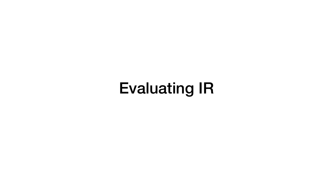## Evaluating IR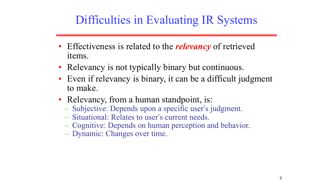### Difficulties in Evaluating IR Systems

• Effectiveness is related to the *relevancy* of retrieved

• Even if relevancy is binary, it can be a difficult judgment

- items.
- Relevancy is not typically binary but continuous.
- to make.
- Relevancy, from a human standpoint, is:
	-
	- Situational: Relates to user's current needs.
	-
	- Dynamic: Changes over time.

– Subjective: Depends upon a specific user's judgment. – Cognitive: Depends on human perception and behavior.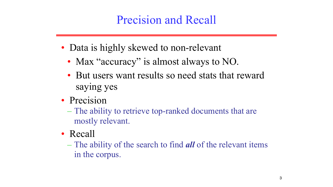### Precision and Recall

- Data is highly skewed to non-relevant • Max "accuracy" is almost always to NO. • But users want results so need stats that reward
	-
	- saying yes
- Precision
	- The ability to retrieve top-ranked documents that are mostly relevant.
- Recall
	- The ability of the search to find *all* of the relevant items in the corpus.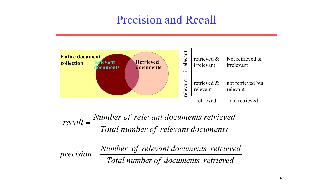*Total number of relevant documents*

*Total number of documents retrieved Number of relevant documents retrieved*  $precision =$ <sup> $\frac{1}{2}$ </sup>

*Number of relevant documents retrieved*

# *recall* =



| $\mathbf d$<br>Its | rrelevant | retrieved &<br>irrelevant | Not retrieved &<br>irrelevant |
|--------------------|-----------|---------------------------|-------------------------------|
|                    | relevant  | retrieved &<br>relevant   | not retrieved but<br>relevant |
|                    |           | retrieved                 | not retrieved                 |

### Precision and Recall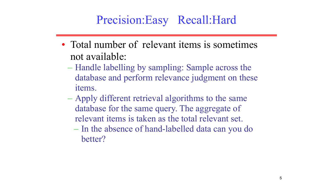### Precision:Easy Recall:Hard

- Total number of relevant items is sometimes not available:
	- Handle labelling by sampling: Sample across the database and perform relevance judgment on these items.
	- Apply different retrieval algorithms to the same database for the same query. The aggregate of relevant items is taken as the total relevant set. – In the absence of hand-labelled data can you do
		- better?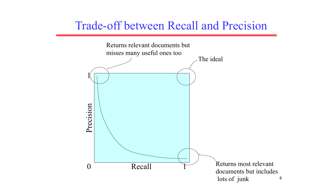6

### Trade-off between Recall and Precision

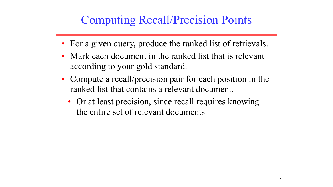### Computing Recall/Precision Points

- For a given query, produce the ranked list of retrievals.
- Mark each document in the ranked list that is relevant according to your gold standard.
- Compute a recall/precision pair for each position in the ranked list that contains a relevant document.
	- Or at least precision, since recall requires knowing the entire set of relevant documents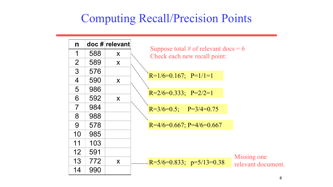### Computing Recall/Precision Points

| n              |     | doc # relevant | Su   |
|----------------|-----|----------------|------|
| 1              | 588 | X              | Cl   |
| $\overline{2}$ | 589 | X              |      |
| 3              | 576 |                | $R=$ |
| $\overline{4}$ | 590 | X              |      |
| 5              | 986 |                | $R=$ |
| 6              | 592 | X              |      |
| $\overline{7}$ | 984 |                | $R=$ |
| 8              | 988 |                |      |
| 9              | 578 |                | $R=$ |
| 10             | 985 |                |      |
| 11             | 103 |                |      |
| 12             | 591 |                |      |
| 13             | 772 | X              | $R=$ |
| 14             | 990 |                |      |

uppose total  $#$  of relevant docs  $= 6$ heck each new recall point:

 $P=1/6=0.167; P=1/1=1$ 

 $P=2/6=0.333; P=2/2=1$ 

 $P=3/6=0.5$ ;  $P=3/4=0.75$ 

 $A/6=0.667; P=4/6=0.667$ 

 $E = 5/6 = 0.833; \quad p = 5/13 = 0.38$ 

Missing one relevant document.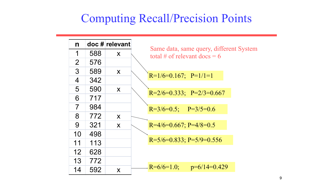### Computing Recall/Precision Points

| $\mathbf n$    |     | doc # relevant | Sa             |
|----------------|-----|----------------|----------------|
| 1              | 588 | X              | $\mathfrak{t}$ |
| $\overline{2}$ | 576 |                |                |
| 3              | 589 | X              | $R=$           |
| $\overline{4}$ | 342 |                |                |
| 5              | 590 | X              | $R=$           |
| 6              | 717 |                |                |
| $\overline{7}$ | 984 |                | $R =$          |
| 8              | 772 | X              |                |
| 9              | 321 | X              | $R=$           |
| 10             | 498 |                |                |
| 11             | 113 |                | $R=$           |
| 12             | 628 |                |                |
| 13             | 772 |                |                |
| 14             | 592 | X              | $R=$           |

ame data, same query, different System tal # of relevant docs  $= 6$ 

 $P=1/6=0.167; P=1/1=1$ 

 $P=2/6=0.333; P=2/3=0.667$ 

 $P=3/6=0.5$ ; P=3/5=0.6

 $\approx$  =4/6=0.667; P=4/8=0.5

 $E = 5/6 = 0.833; P = 5/9 = 0.556$ 

 $E=6/6=1.0;$  p=6/14=0.429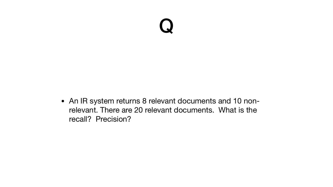

#### • An IR system returns 8 relevant documents and 10 nonrelevant. There are 20 relevant documents. What is the

recall? Precision?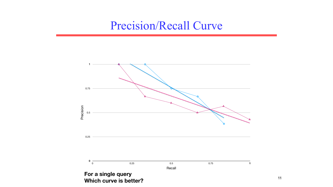

**Which curve is better?**

### Precision/Recall Curve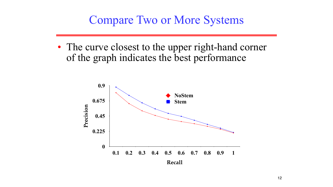### Compare Two or More Systems

### • The curve closest to the upper right-hand corner of the graph indicates the best performance

**Recall**

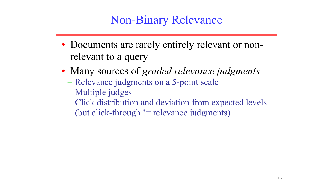### Non-Binary Relevance

- Documents are rarely entirely relevant or nonrelevant to a query
- Many sources of *graded relevance judgments* – Relevance judgments on a 5-point scale
	- Multiple judges
	- Click distribution and deviation from expected levels (but click-through  $!=$  relevance judgments)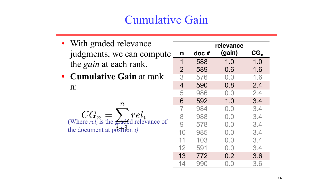### Cumulative Gain

- With graded relevance judgments, we can computed the *gain* at each rank.
- **Cumulative Gain** at ran n:

 $\boldsymbol{n}$ (Where  $ref_i$  is the graded relevance the document at  $p\ddot{\delta}$  ition *i*)

|               |                | relevance    |                             |                 |
|---------------|----------------|--------------|-----------------------------|-----------------|
| pute          | n              | $\bf{doc}$ # | (gain)                      | CG <sub>n</sub> |
| $\mathsf{nk}$ | 1              | 588          | 1.0                         | 1.0             |
|               | $\overline{2}$ | 589          | 0.6                         | 1.6             |
|               | 3              | 576          | 0.0                         | 1.6             |
|               | $\overline{4}$ | 590          | 0.8                         | 2.4             |
| e of          | 5              | 986          | 0.0                         | 2.4             |
|               | 6              | 592          | 1.0                         | 3.4             |
|               |                | 984          | 0.0                         | 3.4             |
|               |                | 988          | $\mathbf{U}$ . $\mathbf{U}$ | 3.4             |
|               | 9              | 578          | 0.0                         | 3.4             |
|               | 10             | 985          | 0.0                         | 3.4             |
|               | 11             | 103          | 0.0                         | 3.4             |
|               | 12             | 591          | 0.0                         | 3.4             |
|               | 13             | 772          | 0.2                         | 3.6             |
|               | 14             | 990          | 0.0                         | 3.6             |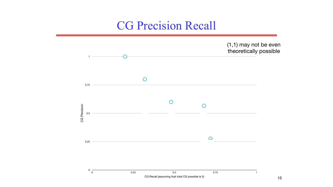

#### (1,1) may not be even theoretically possible

### CG Precision Recall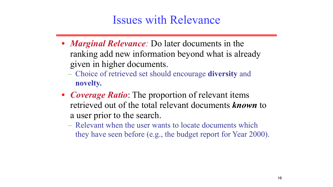### Issues with Relevance

- *• Marginal Relevance:* Do later documents in the ranking add new information beyond what is already given in higher documents. – Choice of retrieved set should encourage **diversity** and **novelty.**
- *• Coverage Ratio*: The proportion of relevant items retrieved out of the total relevant documents *known* to a user prior to the search. – Relevant when the user wants to locate documents which they have seen before (e.g., the budget report for Year 2000).